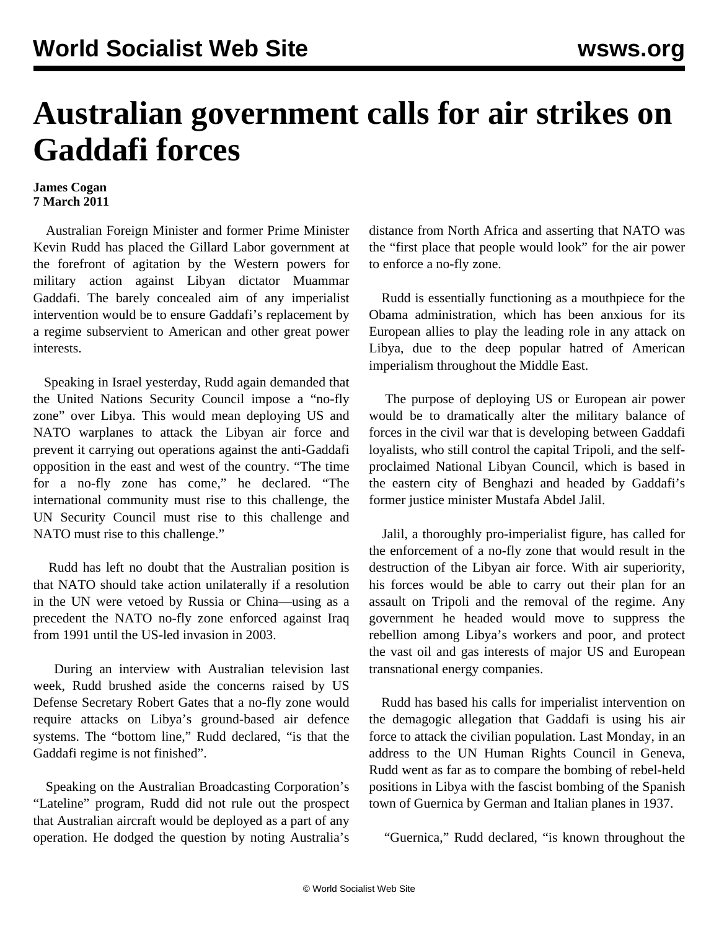## **Australian government calls for air strikes on Gaddafi forces**

## **James Cogan 7 March 2011**

 Australian Foreign Minister and former Prime Minister Kevin Rudd has placed the Gillard Labor government at the forefront of agitation by the Western powers for military action against Libyan dictator Muammar Gaddafi. The barely concealed aim of any imperialist intervention would be to ensure Gaddafi's replacement by a regime subservient to American and other great power interests.

 Speaking in Israel yesterday, Rudd again demanded that the United Nations Security Council impose a "no-fly zone" over Libya. This would mean deploying US and NATO warplanes to attack the Libyan air force and prevent it carrying out operations against the anti-Gaddafi opposition in the east and west of the country. "The time for a no-fly zone has come," he declared. "The international community must rise to this challenge, the UN Security Council must rise to this challenge and NATO must rise to this challenge."

 Rudd has left no doubt that the Australian position is that NATO should take action unilaterally if a resolution in the UN were vetoed by Russia or China—using as a precedent the NATO no-fly zone enforced against Iraq from 1991 until the US-led invasion in 2003.

 During an interview with Australian television last week, Rudd brushed aside the concerns raised by US Defense Secretary Robert Gates that a no-fly zone would require attacks on Libya's ground-based air defence systems. The "bottom line," Rudd declared, "is that the Gaddafi regime is not finished".

 Speaking on the Australian Broadcasting Corporation's "Lateline" program, Rudd did not rule out the prospect that Australian aircraft would be deployed as a part of any operation. He dodged the question by noting Australia's

distance from North Africa and asserting that NATO was the "first place that people would look" for the air power to enforce a no-fly zone.

 Rudd is essentially functioning as a mouthpiece for the Obama administration, which has been anxious for its European allies to play the leading role in any attack on Libya, due to the deep popular hatred of American imperialism throughout the Middle East.

 The purpose of deploying US or European air power would be to dramatically alter the military balance of forces in the civil war that is developing between Gaddafi loyalists, who still control the capital Tripoli, and the selfproclaimed National Libyan Council, which is based in the eastern city of Benghazi and headed by Gaddafi's former justice minister Mustafa Abdel Jalil.

 Jalil, a thoroughly pro-imperialist figure, has called for the enforcement of a no-fly zone that would result in the destruction of the Libyan air force. With air superiority, his forces would be able to carry out their plan for an assault on Tripoli and the removal of the regime. Any government he headed would move to suppress the rebellion among Libya's workers and poor, and protect the vast oil and gas interests of major US and European transnational energy companies.

 Rudd has based his calls for imperialist intervention on the demagogic allegation that Gaddafi is using his air force to attack the civilian population. Last Monday, in an address to the UN Human Rights Council in Geneva, Rudd went as far as to compare the bombing of rebel-held positions in Libya with the fascist bombing of the Spanish town of Guernica by German and Italian planes in 1937.

"Guernica," Rudd declared, "is known throughout the